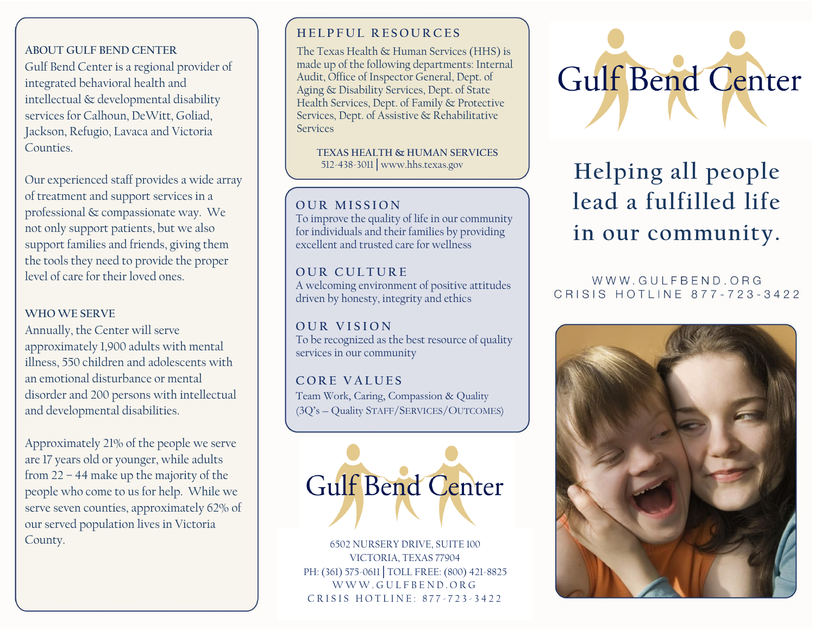#### **ABOUT GULF BEND CENTER**

Gulf Bend Center is a regional provider of integrated behavioral health and intellectual & developmental disability services for Calhoun, DeWitt, Goliad, Jackson, Refugio, Lavaca and Victoria Counties.

Our experienced staff provides a wide array of treatment and support services in a professional & compassionate way. We not only support patients, but we also support families and friends, giving them the tools they need to provide the proper level of care for their loved ones.

#### **WHO WE SERVE**

Annually, the Center will serve approximately 1,900 adults with mental illness, 550 children and adolescents with an emotional disturbance or mental disorder and 200 persons with intellectual and developmental disabilities.

Approximately 21% of the people we serve are 17 years old or younger, while adults from 22 – 44 make up the majority of the people who come to us for help. While we serve seven counties, approximately 62% of our served population lives in Victoria County.

#### **HEIPEUL RESOURCES**

The Texas Health & Human Services (HHS) is made up of the following departments[: Internal](https://hhs.texas.gov/about-hhs/agencies-departments#internalaudit)  [Audit,](https://hhs.texas.gov/about-hhs/agencies-departments#internalaudit) [Office of Inspector General,](https://hhs.texas.gov/about-hhs/agencies-departments#OfficeofInspectorGeneral) [Dept. of](https://hhs.texas.gov/about-hhs/agencies-departments#dads)  Aging [& Disability Services,](https://hhs.texas.gov/about-hhs/agencies-departments#dads) [Dept. of State](https://hhs.texas.gov/about-hhs/agencies-departments#dshs)  [Health Services,](https://hhs.texas.gov/about-hhs/agencies-departments#dshs) [Dept. of Family & Protective](https://hhs.texas.gov/about-hhs/agencies-departments#dfps)  [Services,](https://hhs.texas.gov/about-hhs/agencies-departments#dfps) [Dept. of Assistive & Rehabilitative](https://hhs.texas.gov/about-hhs/agencies-departments#dars)  **[Services](https://hhs.texas.gov/about-hhs/agencies-departments#dars)** 

 **TEXAS HEALTH & HUMAN SERVICES** 512-438-3011│www.hhs.texas.gov

#### $\overline{O}$  UR MISSION

**Texas Department of Aging and Disability** for individuals and their families by providing excellent and trusted care for wellness To improve the quality of life in our community

#### UUK CULIUKE. **O U R C U L T U R E**

driven by honesty, integrity and ethics A welcoming environment of positive attitudes

**The Ramily STOTS** 10 Be recognized as the Best research **O U R V I S I O N**

# 1-800-252-9108│www.disabilityrightstx.org **C O R E V A L U E S**

**Pearly Work, Carried, Compassion & Quanty** (3Q's – Quality STAFF/SERVICES/OUTCOMES) Team Work, Caring, Compassion & Quality



6502 NURSERY DRIVE, SUITE 100 VICTORIA, TEXAS 77904 PH: (361) 575-0611 | TOLL FREE: (800) 421-8825 W W W . G U L F B E N D . O R G CRISIS HOTLINE: 877-723-3422



# **Helping all people lead a fulfilled life in our community.**

#### WWW.GULFBEND.ORG CRISIS HOTLINE 877-723-3422